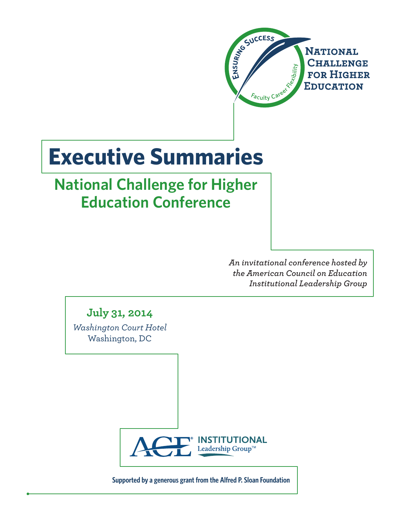

# **Executive Summaries**

## **National Challenge for Higher Education Conference**

*An invitational conference hosted by the American Council on Education Institutional Leadership Group*

**July 31, 2014**

*Washington Court Hotel* Washington, DC



**Supported by a generous grant from the Alfred P. Sloan Foundation**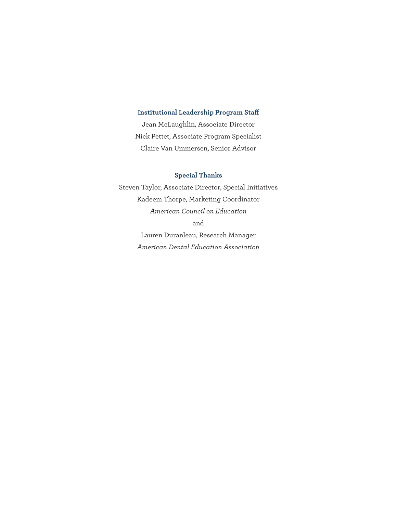#### **Institutional Leadership Program Staff**

Jean McLaughlin, Associate Director Nick Pettet, Associate Program Specialist Claire Van Ummersen, Senior Advisor

#### **Special Thanks**

Steven Taylor, Associate Director, Special Initiatives Kadeem Thorpe, Marketing Coordinator *American Council on Education* and Lauren Duranleau, Research Manager *American Dental Education Association*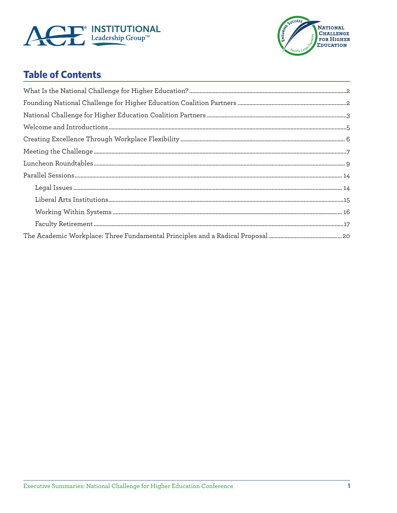



### **Table of Contents**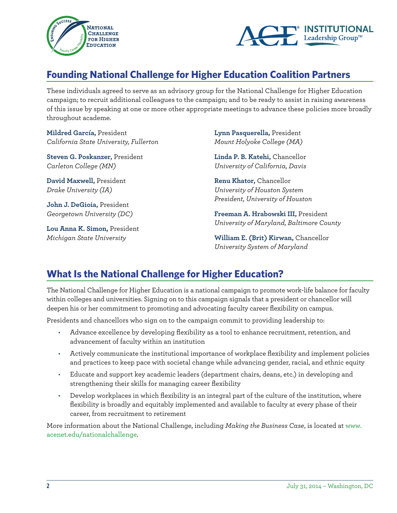



### **Founding National Challenge for Higher Education Coalition Partners**

These individuals agreed to serve as an advisory group for the National Challenge for Higher Education campaign; to recruit additional colleagues to the campaign; and to be ready to assist in raising awareness of this issue by speaking at one or more other appropriate meetings to advance these policies more broadly throughout academe.

**Mildred García,** President *California State University, Fullerton*

**Steven G. Poskanzer,** President *Carleton College (MN)*

**David Maxwell,** President *Drake University (IA)*

**John J. DeGioia,** President *Georgetown University (DC)*

**Lou Anna K. Simon,** President *Michigan State University*

**Lynn Pasquerella,** President *Mount Holyoke College (MA)*

**Linda P. B. Katehi,** Chancellor *University of California, Davis*

**Renu Khator,** Chancellor *University of Houston System President, University of Houston*

**Freeman A. Hrabowski III,** President *University of Maryland, Baltimore County*

**William E. (Brit) Kirwan,** Chancellor *University System of Maryland*

### **What Is the National Challenge for Higher Education?**

The National Challenge for Higher Education is a national campaign to promote work-life balance for faculty within colleges and universities. Signing on to this campaign signals that a president or chancellor will deepen his or her commitment to promoting and advocating faculty career flexibility on campus.

Presidents and chancellors who sign on to the campaign commit to providing leadership to:

- • Advance excellence by developing flexibility as a tool to enhance recruitment, retention, and advancement of faculty within an institution
- Actively communicate the institutional importance of workplace flexibility and implement policies and practices to keep pace with societal change while advancing gender, racial, and ethnic equity
- Educate and support key academic leaders (department chairs, deans, etc.) in developing and strengthening their skills for managing career flexibility
- Develop workplaces in which flexibility is an integral part of the culture of the institution, where flexibility is broadly and equitably implemented and available to faculty at every phase of their career, from recruitment to retirement

More information about the National Challenge, including *Making the Business Case*, is located at www. acenet.edu/nationalchallenge.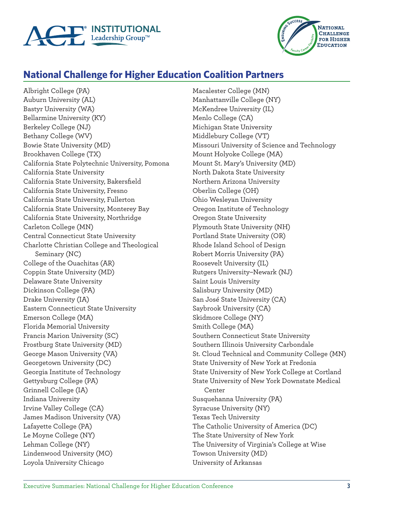



### **National Challenge for Higher Education Coalition Partners**

Albright College (PA) Auburn University (AL) Bastyr University (WA) Bellarmine University (KY) Berkeley College (NJ) Bethany College (WV) Bowie State University (MD) Brookhaven College (TX) California State Polytechnic University, Pomona California State University California State University, Bakersfield California State University, Fresno California State University, Fullerton California State University, Monterey Bay California State University, Northridge Carleton College (MN) Central Connecticut State University Charlotte Christian College and Theological Seminary (NC) College of the Ouachitas (AR) Coppin State University (MD) Delaware State University Dickinson College (PA) Drake University (IA) Eastern Connecticut State University Emerson College (MA) Florida Memorial University Francis Marion University (SC) Frostburg State University (MD) George Mason University (VA) Georgetown University (DC) Georgia Institute of Technology Gettysburg College (PA) Grinnell College (IA) Indiana University Irvine Valley College (CA) James Madison University (VA) Lafayette College (PA) Le Moyne College (NY) Lehman College (NY) Lindenwood University (MO) Loyola University Chicago

Macalester College (MN) Manhattanville College (NY) McKendree University (IL) Menlo College (CA) Michigan State University Middlebury College (VT) Missouri University of Science and Technology Mount Holyoke College (MA) Mount St. Mary's University (MD) North Dakota State University Northern Arizona University Oberlin College (OH) Ohio Wesleyan University Oregon Institute of Technology Oregon State University Plymouth State University (NH) Portland State University (OR) Rhode Island School of Design Robert Morris University (PA) Roosevelt University (IL) Rutgers University–Newark (NJ) Saint Louis University Salisbury University (MD) San José State University (CA) Saybrook University (CA) Skidmore College (NY) Smith College (MA) Southern Connecticut State University Southern Illinois University Carbondale St. Cloud Technical and Community College (MN) State University of New York at Fredonia State University of New York College at Cortland State University of New York Downstate Medical Center Susquehanna University (PA) Syracuse University (NY) Texas Tech University The Catholic University of America (DC) The State University of New York The University of Virginia's College at Wise Towson University (MD) University of Arkansas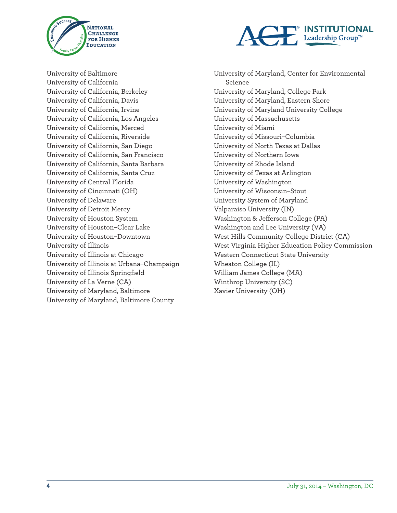



University of Baltimore University of California University of California, Berkeley University of California, Davis University of California, Irvine University of California, Los Angeles University of California, Merced University of California, Riverside University of California, San Diego University of California, San Francisco University of California, Santa Barbara University of California, Santa Cruz University of Central Florida University of Cincinnati (OH) University of Delaware University of Detroit Mercy University of Houston System University of Houston–Clear Lake University of Houston–Downtown University of Illinois University of Illinois at Chicago University of Illinois at Urbana–Champaign University of Illinois Springfield University of La Verne (CA) University of Maryland, Baltimore University of Maryland, Baltimore County

University of Maryland, Center for Environmental Science University of Maryland, College Park University of Maryland, Eastern Shore University of Maryland University College University of Massachusetts University of Miami University of Missouri–Columbia University of North Texas at Dallas University of Northern Iowa University of Rhode Island University of Texas at Arlington University of Washington University of Wisconsin–Stout University System of Maryland Valparaiso University (IN) Washington & Jefferson College (PA) Washington and Lee University (VA) West Hills Community College District (CA) West Virginia Higher Education Policy Commission Western Connecticut State University Wheaton College (IL) William James College (MA) Winthrop University (SC) Xavier University (OH)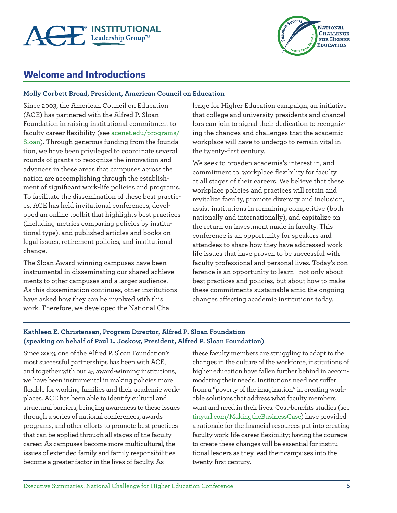



### **Welcome and Introductions**

#### **Molly Corbett Broad, President, American Council on Education**

Since 2003, the American Council on Education (ACE) has partnered with the Alfred P. Sloan Foundation in raising institutional commitment to faculty career flexibility (see acenet.edu/programs/ Sloan). Through generous funding from the foundation, we have been privileged to coordinate several rounds of grants to recognize the innovation and advances in these areas that campuses across the nation are accomplishing through the establishment of significant work-life policies and programs. To facilitate the dissemination of these best practices, ACE has held invitational conferences, developed an online toolkit that highlights best practices (including metrics comparing policies by institutional type), and published articles and books on legal issues, retirement policies, and institutional change.

The Sloan Award-winning campuses have been instrumental in disseminating our shared achievements to other campuses and a larger audience. As this dissemination continues, other institutions have asked how they can be involved with this work. Therefore, we developed the National Challenge for Higher Education campaign, an initiative that college and university presidents and chancellors can join to signal their dedication to recognizing the changes and challenges that the academic workplace will have to undergo to remain vital in the twenty-first century.

We seek to broaden academia's interest in, and commitment to, workplace flexibility for faculty at all stages of their careers. We believe that these workplace policies and practices will retain and revitalize faculty, promote diversity and inclusion, assist institutions in remaining competitive (both nationally and internationally), and capitalize on the return on investment made in faculty. This conference is an opportunity for speakers and attendees to share how they have addressed worklife issues that have proven to be successful with faculty professional and personal lives. Today's conference is an opportunity to learn—not only about best practices and policies, but about how to make these commitments sustainable amid the ongoing changes affecting academic institutions today.

#### **Kathleen E. Christensen, Program Director, Alfred P. Sloan Foundation (speaking on behalf of Paul L. Joskow, President, Alfred P. Sloan Foundation)**

Since 2003, one of the Alfred P. Sloan Foundation's most successful partnerships has been with ACE, and together with our 45 award-winning institutions, we have been instrumental in making policies more flexible for working families and their academic workplaces. ACE has been able to identify cultural and structural barriers, bringing awareness to these issues through a series of national conferences, awards programs, and other efforts to promote best practices that can be applied through all stages of the faculty career. As campuses become more multicultural, the issues of extended family and family responsibilities become a greater factor in the lives of faculty. As

these faculty members are struggling to adapt to the changes in the culture of the workforce, institutions of higher education have fallen further behind in accommodating their needs. Institutions need not suffer from a "poverty of the imagination" in creating workable solutions that address what faculty members want and need in their lives. Cost-benefits studies (see tinyurl.com/MakingtheBusinessCase) have provided a rationale for the financial resources put into creating faculty work-life career flexibility; having the courage to create these changes will be essential for institutional leaders as they lead their campuses into the twenty-first century.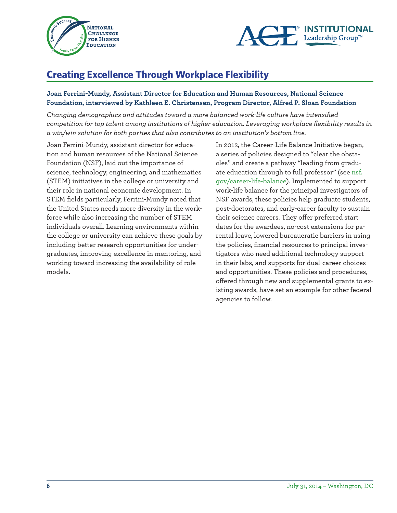



### **Creating Excellence Through Workplace Flexibility**

#### **Joan Ferrini-Mundy, Assistant Director for Education and Human Resources, National Science Foundation, interviewed by Kathleen E. Christensen, Program Director, Alfred P. Sloan Foundation**

*Changing demographics and attitudes toward a more balanced work-life culture have intensified competition for top talent among institutions of higher education. Leveraging workplace flexibility results in a win/win solution for both parties that also contributes to an institution's bottom line.* 

Joan Ferrini-Mundy, assistant director for education and human resources of the National Science Foundation (NSF), laid out the importance of science, technology, engineering, and mathematics (STEM) initiatives in the college or university and their role in national economic development. In STEM fields particularly, Ferrini-Mundy noted that the United States needs more diversity in the workforce while also increasing the number of STEM individuals overall. Learning environments within the college or university can achieve these goals by including better research opportunities for undergraduates, improving excellence in mentoring, and working toward increasing the availability of role models.

In 2012, the Career-Life Balance Initiative began, a series of policies designed to "clear the obstacles" and create a pathway "leading from graduate education through to full professor" (see nsf. gov/career-life-balance). Implemented to support work-life balance for the principal investigators of NSF awards, these policies help graduate students, post-doctorates, and early-career faculty to sustain their science careers. They offer preferred start dates for the awardees, no-cost extensions for parental leave, lowered bureaucratic barriers in using the policies, financial resources to principal investigators who need additional technology support in their labs, and supports for dual-career choices and opportunities. These policies and procedures, offered through new and supplemental grants to existing awards, have set an example for other federal agencies to follow.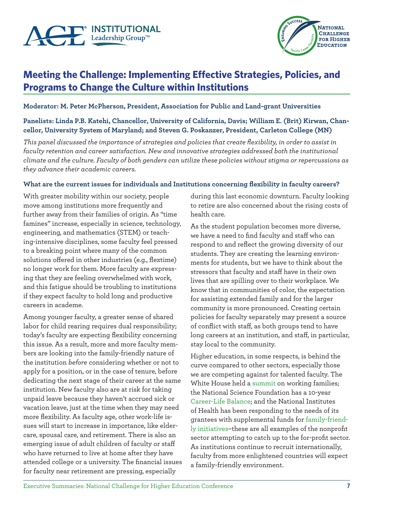



### **Meeting the Challenge: Implementing Effective Strategies, Policies, and Programs to Change the Culture within Institutions**

**Moderator: M. Peter McPherson, President, Association for Public and Land-grant Universities**

#### **Panelists: Linda P.B. Katehi, Chancellor, University of California, Davis; William E. (Brit) Kirwan, Chancellor, University System of Maryland; and Steven G. Poskanzer, President, Carleton College (MN)**

*This panel discussed the importance of strategies and policies that create flexibility, in order to assist in faculty retention and career satisfaction. New and innovative strategies addressed both the institutional climate and the culture. Faculty of both genders can utilize these policies without stigma or repercussions as they advance their academic careers.* 

#### **What are the current issues for individuals and Institutions concerning flexibility in faculty careers?**

With greater mobility within our society, people move among institutions more frequently and further away from their families of origin. As "time famines" increase, especially in science, technology, engineering, and mathematics (STEM) or teaching-intensive disciplines, some faculty feel pressed to a breaking point where many of the common solutions offered in other industries (e.g., flextime) no longer work for them. More faculty are expressing that they are feeling overwhelmed with work, and this fatigue should be troubling to institutions if they expect faculty to hold long and productive careers in academe.

Among younger faculty, a greater sense of shared labor for child rearing requires dual responsibility; today's faculty are expecting flexibility concerning this issue. As a result, more and more faculty members are looking into the family-friendly nature of the institution *before* considering whether or not to apply for a position, or in the case of tenure, before dedicating the next stage of their career at the same institution. New faculty also are at risk for taking unpaid leave because they haven't accrued sick or vacation leave, just at the time when they may need more flexibility. As faculty age, other work-life issues will start to increase in importance, like eldercare, spousal care, and retirement. There is also an emerging issue of adult children of faculty or staff who have returned to live at home after they have attended college or a university. The financial issues for faculty near retirement are pressing, especially

during this last economic downturn. Faculty looking to retire are also concerned about the rising costs of health care.

As the student population becomes more diverse, we have a need to find faculty and staff who can respond to and reflect the growing diversity of our students. They are creating the learning environments for students, but we have to think about the stressors that faculty and staff have in their own lives that are spilling over to their workplace. We know that in communities of color, the expectation for assisting extended family and for the larger community is more pronounced. Creating certain policies for faculty separately may present a source of conflict with staff, as both groups tend to have long careers at an institution, and staff, in particular, stay local to the community.

Higher education, in some respects, is behind the curve compared to other sectors, especially those we are competing against for talented faculty. The White House held a summit on working families; the National Science Foundation has a 10-year Career-Life Balance; and the National Institutes of Health has been responding to the needs of its grantees with supplemental funds for family-friendly initiatives–these are all examples of the nonprofit sector attempting to catch up to the for-profit sector. As institutions continue to recruit internationally, faculty from more enlightened countries will expect a family-friendly environment.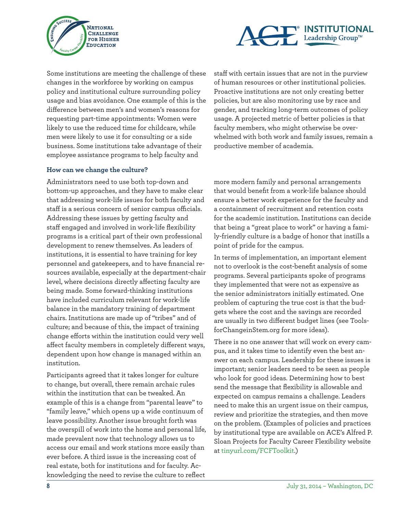



Some institutions are meeting the challenge of these changes in the workforce by working on campus policy and institutional culture surrounding policy usage and bias avoidance. One example of this is the difference between men's and women's reasons for requesting part-time appointments: Women were likely to use the reduced time for childcare, while men were likely to use it for consulting or a side business. Some institutions take advantage of their employee assistance programs to help faculty and

#### **How can we change the culture?**

Administrators need to use both top-down and bottom-up approaches, and they have to make clear that addressing work-life issues for both faculty and staff is a serious concern of senior campus officials. Addressing these issues by getting faculty and staff engaged and involved in work-life flexibility programs is a critical part of their own professional development to renew themselves. As leaders of institutions, it is essential to have training for key personnel and gatekeepers, and to have financial resources available, especially at the department-chair level, where decisions directly affecting faculty are being made. Some forward-thinking institutions have included curriculum relevant for work-life balance in the mandatory training of department chairs. Institutions are made up of "tribes" and of culture; and because of this, the impact of training change efforts within the institution could very well affect faculty members in completely different ways, dependent upon how change is managed within an institution.

Participants agreed that it takes longer for culture to change, but overall, there remain archaic rules within the institution that can be tweaked. An example of this is a change from "parental leave" to "family leave," which opens up a wide continuum of leave possibility. Another issue brought forth was the overspill of work into the home and personal life, made prevalent now that technology allows us to access our email and work stations more easily than ever before. A third issue is the increasing cost of real estate, both for institutions and for faculty. Acknowledging the need to revise the culture to reflect

staff with certain issues that are not in the purview of human resources or other institutional policies. Proactive institutions are not only creating better policies, but are also monitoring use by race and gender, and tracking long-term outcomes of policy usage. A projected metric of better policies is that faculty members, who might otherwise be overwhelmed with both work and family issues, remain a productive member of academia.

more modern family and personal arrangements that would benefit from a work-life balance should ensure a better work experience for the faculty and a containment of recruitment and retention costs for the academic institution. Institutions can decide that being a "great place to work" or having a family-friendly culture is a badge of honor that instills a point of pride for the campus.

In terms of implementation, an important element not to overlook is the cost-benefit analysis of some programs. Several participants spoke of programs they implemented that were not as expensive as the senior administrators initially estimated. One problem of capturing the true cost is that the budgets where the cost and the savings are recorded are usually in two different budget lines (see ToolsforChangeinStem.org for more ideas).

There is no one answer that will work on every campus, and it takes time to identify even the best answer on each campus. Leadership for these issues is important; senior leaders need to be seen as people who look for good ideas. Determining how to best send the message that flexibility is allowable and expected on campus remains a challenge. Leaders need to make this an urgent issue on their campus, review and prioritize the strategies, and then move on the problem. (Examples of policies and practices by institutional type are available on ACE's Alfred P. Sloan Projects for Faculty Career Flexibility website at tinyurl.com/FCFToolkit.)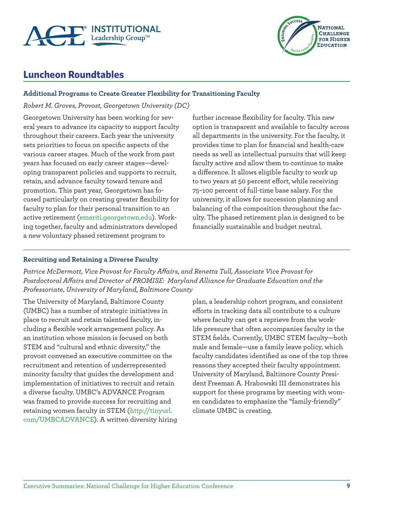



### **Luncheon Roundtables**

#### **Additional Programs to Create Greater Flexibility for Transitioning Faculty**

*Robert M. Groves, Provost, Georgetown University (DC)*

Georgetown University has been working for several years to advance its capacity to support faculty throughout their careers. Each year the university sets priorities to focus on specific aspects of the various career stages. Much of the work from past years has focused on early career stages—developing transparent policies and supports to recruit, retain, and advance faculty toward tenure and promotion. This past year, Georgetown has focused particularly on creating greater flexibility for faculty to plan for their personal transition to an active retirement (emeriti.georgetown.edu). Working together, faculty and administrators developed a new voluntary phased retirement program to

further increase flexibility for faculty. This new option is transparent and available to faculty across all departments in the university. For the faculty, it provides time to plan for financial and health-care needs as well as intellectual pursuits that will keep faculty active and allow them to continue to make a difference. It allows eligible faculty to work up to two years at 50 percent effort, while receiving 75–100 percent of full-time base salary. For the university, it allows for succession planning and balancing of the composition throughout the faculty. The phased retirement plan is designed to be financially sustainable and budget neutral.

#### **Recruiting and Retaining a Diverse Faculty**

*Patrice McDermott, Vice Provost for Faculty Affairs, and Renetta Tull, Associate Vice Provost for Postdoctoral Affairs and Director of PROMISE: Maryland Alliance for Graduate Education and the Professoriate, University of Maryland, Baltimore County*

The University of Maryland, Baltimore County (UMBC) has a number of strategic initiatives in place to recruit and retain talented faculty, including a flexible work arrangement policy. As an institution whose mission is focused on both STEM and "cultural and ethnic diversity," the provost convened an executive committee on the recruitment and retention of underrepresented minority faculty that guides the development and implementation of initiatives to recruit and retain a diverse faculty. UMBC's ADVANCE Program was framed to provide success for recruiting and retaining women faculty in STEM (http://tinyurl. com/UMBCADVANCE). A written diversity hiring

plan, a leadership cohort program, and consistent efforts in tracking data all contribute to a culture where faculty can get a reprieve from the worklife pressure that often accompanies faculty in the STEM fields. Currently, UMBC STEM faculty—both male and female—use a family leave policy, which faculty candidates identified as one of the top three reasons they accepted their faculty appointment. University of Maryland, Baltimore County President Freeman A. Hrabowski III demonstrates his support for these programs by meeting with women candidates to emphasize the "family-friendly" climate UMBC is creating.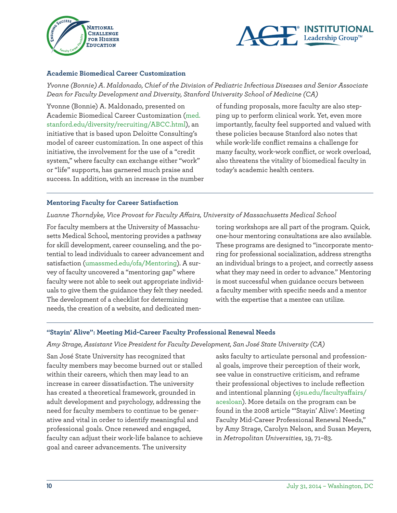



#### **Academic Biomedical Career Customization**

*Yvonne (Bonnie) A. Maldonado, Chief of the Division of Pediatric Infectious Diseases and Senior Associate Dean for Faculty Development and Diversity, Stanford University School of Medicine (CA)*

Yvonne (Bonnie) A. Maldonado, presented on Academic Biomedical Career Customization (med. stanford.edu/diversity/recruiting/ABCC.html), an initiative that is based upon Deloitte Consulting's model of career customization. In one aspect of this initiative, the involvement for the use of a "credit system," where faculty can exchange either "work" or "life" supports, has garnered much praise and success. In addition, with an increase in the number of funding proposals, more faculty are also stepping up to perform clinical work. Yet, even more importantly, faculty feel supported and valued with these policies because Stanford also notes that while work-life conflict remains a challenge for many faculty, work-work conflict, or work overload, also threatens the vitality of biomedical faculty in today's academic health centers.

#### **Mentoring Faculty for Career Satisfaction**

#### *Luanne Thorndyke, Vice Provost for Faculty Affairs, University of Massachusetts Medical School*

For faculty members at the University of Massachusetts Medical School, mentoring provides a pathway for skill development, career counseling, and the potential to lead individuals to career advancement and satisfaction (umassmed.edu/ofa/Mentoring). A survey of faculty uncovered a "mentoring gap" where faculty were not able to seek out appropriate individuals to give them the guidance they felt they needed. The development of a checklist for determining needs, the creation of a website, and dedicated mentoring workshops are all part of the program. Quick, one-hour mentoring consultations are also available. These programs are designed to "incorporate mentoring for professional socialization, address strengths an individual brings to a project, and correctly assess what they may need in order to advance." Mentoring is most successful when guidance occurs between a faculty member with specific needs and a mentor with the expertise that a mentee can utilize.

#### **"Stayin' Alive": Meeting Mid-Career Faculty Professional Renewal Needs**

#### *Amy Strage, Assistant Vice President for Faculty Development, San José State University (CA)*

San José State University has recognized that faculty members may become burned out or stalled within their careers, which then may lead to an increase in career dissatisfaction. The university has created a theoretical framework, grounded in adult development and psychology, addressing the need for faculty members to continue to be generative and vital in order to identify meaningful and professional goals. Once renewed and engaged, faculty can adjust their work-life balance to achieve goal and career advancements. The university

asks faculty to articulate personal and professional goals, improve their perception of their work, see value in constructive criticism, and reframe their professional objectives to include reflection and intentional planning (sjsu.edu/facultyaffairs/ acesloan). More details on the program can be found in the 2008 article "'Stayin' Alive': Meeting Faculty Mid-Career Professional Renewal Needs," by Amy Strage, Carolyn Nelson, and Susan Meyers, in *Metropolitan Universities*, 19, 71–83.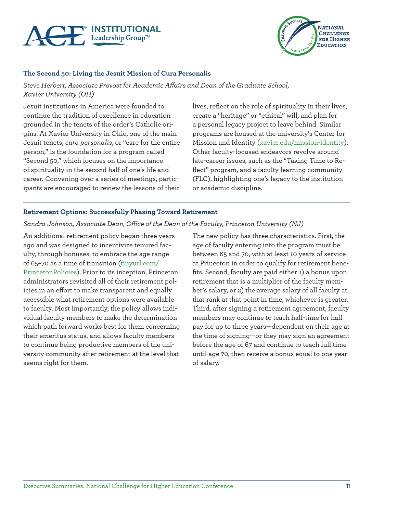



#### **The Second 50: Living the Jesuit Mission of Cura Personalis**

*Steve Herbert, Associate Provost for Academic Affairs and Dean of the Graduate School, Xavier University (OH)*

Jesuit institutions in America were founded to continue the tradition of excellence in education grounded in the tenets of the order's Catholic origins. At Xavier University in Ohio, one of the main Jesuit tenets, *cura personalis*, or "care for the entire person," is the foundation for a program called "Second 50," which focuses on the importance of spirituality in the second half of one's life and career. Convening over a series of meetings, participants are encouraged to review the lessons of their

lives, reflect on the role of spirituality in their lives, create a "heritage" or "ethical" will, and plan for a personal legacy project to leave behind. Similar programs are housed at the university's Center for Mission and Identity (xavier.edu/mission-identity). Other faculty-focused endeavors revolve around late-career issues, such as the "Taking Time to Reflect" program, and a faculty learning community (FLC), highlighting one's legacy to the institution or academic discipline.

#### **Retirement Options: Successfully Phasing Toward Retirement**

*Sandra Johnson, Associate Dean, Office of the Dean of the Faculty, Princeton University (NJ)*

An additional retirement policy began three years ago and was designed to incentivize tenured faculty, through bonuses, to embrace the age range of 65–70 as a time of transition (tinyurl.com/ PrincetonPolicies). Prior to its inception, Princeton administrators revisited all of their retirement policies in an effort to make transparent and equally accessible what retirement options were available to faculty. Most importantly, the policy allows individual faculty members to make the determination which path forward works best for them concerning their emeritus status, and allows faculty members to continue being productive members of the university community after retirement at the level that seems right for them.

The new policy has three characteristics. First, the age of faculty entering into the program must be between 65 and 70, with at least 10 years of service at Princeton in order to qualify for retirement benefits. Second, faculty are paid either 1) a bonus upon retirement that is a multiplier of the faculty member's salary, or 2) the average salary of all faculty at that rank at that point in time, whichever is greater. Third, after signing a retirement agreement, faculty members may continue to teach half-time for half pay for up to three years—dependent on their age at the time of signing—or they may sign an agreement before the age of 67 and continue to teach full time until age 70, then receive a bonus equal to one year of salary.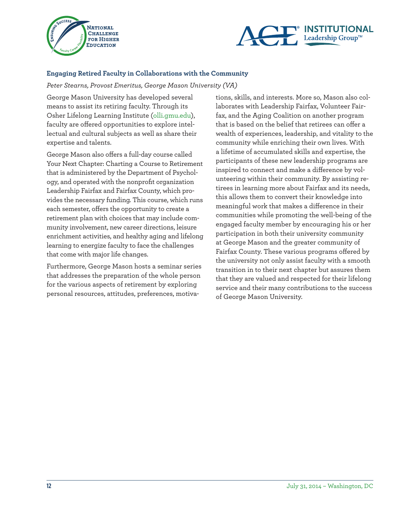



#### **Engaging Retired Faculty in Collaborations with the Community**

*Peter Stearns, Provost Emeritus, George Mason University (VA)*

George Mason University has developed several means to assist its retiring faculty. Through its Osher Lifelong Learning Institute (olli.gmu.edu), faculty are offered opportunities to explore intellectual and cultural subjects as well as share their expertise and talents.

George Mason also offers a full-day course called Your Next Chapter: Charting a Course to Retirement that is administered by the Department of Psychology, and operated with the nonprofit organization Leadership Fairfax and Fairfax County, which provides the necessary funding. This course, which runs each semester, offers the opportunity to create a retirement plan with choices that may include community involvement, new career directions, leisure enrichment activities, and healthy aging and lifelong learning to energize faculty to face the challenges that come with major life changes.

Furthermore, George Mason hosts a seminar series that addresses the preparation of the whole person for the various aspects of retirement by exploring personal resources, attitudes, preferences, motivations, skills, and interests. More so, Mason also collaborates with Leadership Fairfax, Volunteer Fairfax, and the Aging Coalition on another program that is based on the belief that retirees can offer a wealth of experiences, leadership, and vitality to the community while enriching their own lives. With a lifetime of accumulated skills and expertise, the participants of these new leadership programs are inspired to connect and make a difference by volunteering within their community. By assisting retirees in learning more about Fairfax and its needs, this allows them to convert their knowledge into meaningful work that makes a difference in their communities while promoting the well-being of the engaged faculty member by encouraging his or her participation in both their university community at George Mason and the greater community of Fairfax County. These various programs offered by the university not only assist faculty with a smooth transition in to their next chapter but assures them that they are valued and respected for their lifelong service and their many contributions to the success of George Mason University.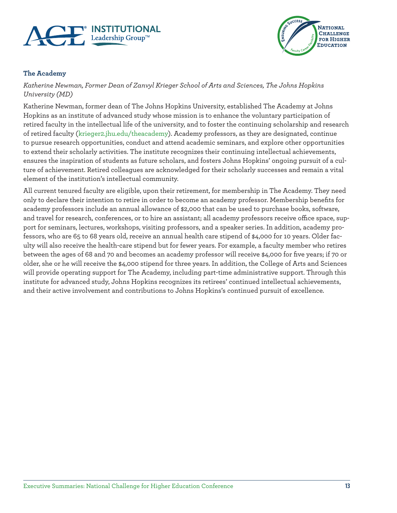



#### **The Academy**

*Katherine Newman, Former Dean of Zanvyl Krieger School of Arts and Sciences, The Johns Hopkins University (MD)*

Katherine Newman, former dean of The Johns Hopkins University, established The Academy at Johns Hopkins as an institute of advanced study whose mission is to enhance the voluntary participation of retired faculty in the intellectual life of the university, and to foster the continuing scholarship and research of retired faculty (krieger2.jhu.edu/theacademy). Academy professors, as they are designated, continue to pursue research opportunities, conduct and attend academic seminars, and explore other opportunities to extend their scholarly activities. The institute recognizes their continuing intellectual achievements, ensures the inspiration of students as future scholars, and fosters Johns Hopkins' ongoing pursuit of a culture of achievement. Retired colleagues are acknowledged for their scholarly successes and remain a vital element of the institution's intellectual community.

All current tenured faculty are eligible, upon their retirement, for membership in The Academy. They need only to declare their intention to retire in order to become an academy professor. Membership benefits for academy professors include an annual allowance of \$2,000 that can be used to purchase books, software, and travel for research, conferences, or to hire an assistant; all academy professors receive office space, support for seminars, lectures, workshops, visiting professors, and a speaker series. In addition, academy professors, who are 65 to 68 years old, receive an annual health care stipend of \$4,000 for 10 years. Older faculty will also receive the health-care stipend but for fewer years. For example, a faculty member who retires between the ages of 68 and 70 and becomes an academy professor will receive \$4,000 for five years; if 70 or older, she or he will receive the \$4,000 stipend for three years. In addition, the College of Arts and Sciences will provide operating support for The Academy, including part-time administrative support. Through this institute for advanced study, Johns Hopkins recognizes its retirees' continued intellectual achievements, and their active involvement and contributions to Johns Hopkins's continued pursuit of excellence.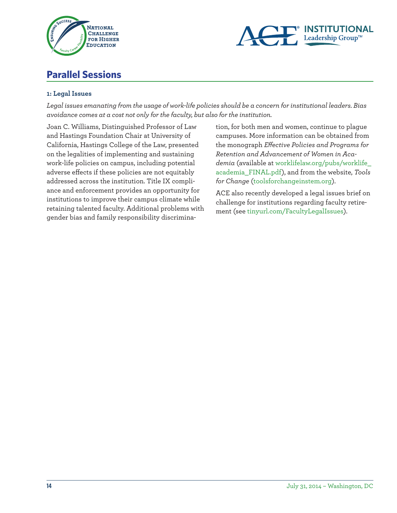



### **Parallel Sessions**

#### **1: Legal Issues**

*Legal issues emanating from the usage of work-life policies should be a concern for institutional leaders. Bias avoidance comes at a cost not only for the faculty, but also for the institution.* 

Joan C. Williams, Distinguished Professor of Law and Hastings Foundation Chair at University of California, Hastings College of the Law, presented on the legalities of implementing and sustaining work-life policies on campus, including potential adverse effects if these policies are not equitably addressed across the institution. Title IX compliance and enforcement provides an opportunity for institutions to improve their campus climate while retaining talented faculty. Additional problems with gender bias and family responsibility discrimina-

tion, for both men and women, continue to plague campuses. More information can be obtained from the monograph *Effective Policies and Programs for Retention and Advancement of Women in Academia* (available at worklifelaw.org/pubs/worklife\_ academia\_FINAL.pdf), and from the website, *Tools for Change* (toolsforchangeinstem.org).

ACE also recently developed a legal issues brief on challenge for institutions regarding faculty retirement (see tinyurl.com/FacultyLegalIssues).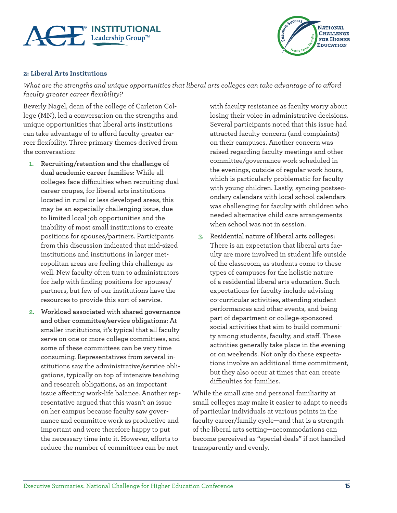



#### **2: Liberal Arts Institutions**

*What are the strengths and unique opportunities that liberal arts colleges can take advantage of to afford faculty greater career flexibility?*

Beverly Nagel, dean of the college of Carleton College (MN), led a conversation on the strengths and unique opportunities that liberal arts institutions can take advantage of to afford faculty greater career flexibility. Three primary themes derived from the conversation:

- **1. Recruiting/retention and the challenge of dual academic career families:** While all colleges face difficulties when recruiting dual career coupes, for liberal arts institutions located in rural or less developed areas, this may be an especially challenging issue, due to limited local job opportunities and the inability of most small institutions to create positions for spouses/partners. Participants from this discussion indicated that mid-sized institutions and institutions in larger metropolitan areas are feeling this challenge as well. New faculty often turn to administrators for help with finding positions for spouses/ partners, but few of our institutions have the resources to provide this sort of service.
- **2. Workload associated with shared governance and other committee/service obligations:** At smaller institutions, it's typical that all faculty serve on one or more college committees, and some of these committees can be very time consuming. Representatives from several institutions saw the administrative/service obligations, typically on top of intensive teaching and research obligations, as an important issue affecting work-life balance. Another representative argued that this wasn't an issue on her campus because faculty saw governance and committee work as productive and important and were therefore happy to put the necessary time into it. However, efforts to reduce the number of committees can be met

with faculty resistance as faculty worry about losing their voice in administrative decisions. Several participants noted that this issue had attracted faculty concern (and complaints) on their campuses. Another concern was raised regarding faculty meetings and other committee/governance work scheduled in the evenings, outside of regular work hours, which is particularly problematic for faculty with young children. Lastly, syncing postsecondary calendars with local school calendars was challenging for faculty with children who needed alternative child care arrangements when school was not in session.

**3. Residential nature of liberal arts colleges:**  There is an expectation that liberal arts faculty are more involved in student life outside of the classroom, as students come to these types of campuses for the holistic nature of a residential liberal arts education. Such expectations for faculty include advising co-curricular activities, attending student performances and other events, and being part of department or college-sponsored social activities that aim to build community among students, faculty, and staff. These activities generally take place in the evening or on weekends. Not only do these expectations involve an additional time commitment, but they also occur at times that can create difficulties for families.

While the small size and personal familiarity at small colleges may make it easier to adapt to needs of particular individuals at various points in the faculty career/family cycle—and that is a strength of the liberal arts setting—accommodations can become perceived as "special deals" if not handled transparently and evenly.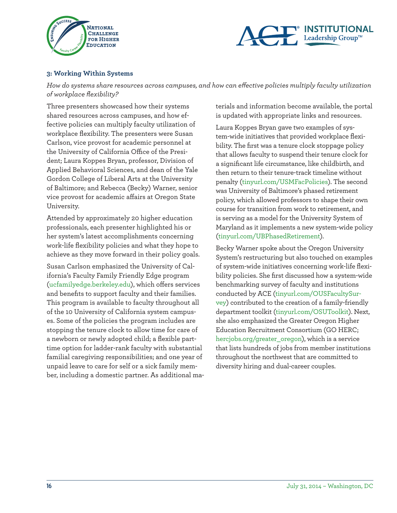



#### **3: Working Within Systems**

*How do systems share resources across campuses, and how can effective policies multiply faculty utilization of workplace flexibility?*

Three presenters showcased how their systems shared resources across campuses, and how effective policies can multiply faculty utilization of workplace flexibility. The presenters were Susan Carlson, vice provost for academic personnel at the University of California Office of the President; Laura Koppes Bryan, professor, Division of Applied Behavioral Sciences, and dean of the Yale Gordon College of Liberal Arts at the University of Baltimore; and Rebecca (Becky) Warner, senior vice provost for academic affairs at Oregon State University.

Attended by approximately 20 higher education professionals, each presenter highlighted his or her system's latest accomplishments concerning work-life flexibility policies and what they hope to achieve as they move forward in their policy goals.

Susan Carlson emphasized the University of California's Faculty Family Friendly Edge program (ucfamilyedge.berkeley.edu), which offers services and benefits to support faculty and their families. This program is available to faculty throughout all of the 10 University of California system campuses. Some of the policies the program includes are stopping the tenure clock to allow time for care of a newborn or newly adopted child; a flexible parttime option for ladder-rank faculty with substantial familial caregiving responsibilities; and one year of unpaid leave to care for self or a sick family member, including a domestic partner. As additional materials and information become available, the portal is updated with appropriate links and resources.

Laura Koppes Bryan gave two examples of system-wide initiatives that provided workplace flexibility. The first was a tenure clock stoppage policy that allows faculty to suspend their tenure clock for a significant life circumstance, like childbirth, and then return to their tenure-track timeline without penalty (tinyurl.com/USMFacPolicies). The second was University of Baltimore's phased retirement policy, which allowed professors to shape their own course for transition from work to retirement, and is serving as a model for the University System of Maryland as it implements a new system-wide policy (tinyurl.com/UBPhasedRetirement).

Becky Warner spoke about the Oregon University System's restructuring but also touched on examples of system-wide initiatives concerning work-life flexibility policies. She first discussed how a system-wide benchmarking survey of faculty and institutions conducted by ACE (tinyurl.com/OUSFacultySurvey) contributed to the creation of a family-friendly department toolkit (tinyurl.com/OSUToolkit). Next, she also emphasized the Greater Oregon Higher Education Recruitment Consortium (GO HERC; hercjobs.org/greater\_oregon), which is a service that lists hundreds of jobs from member institutions throughout the northwest that are committed to diversity hiring and dual-career couples.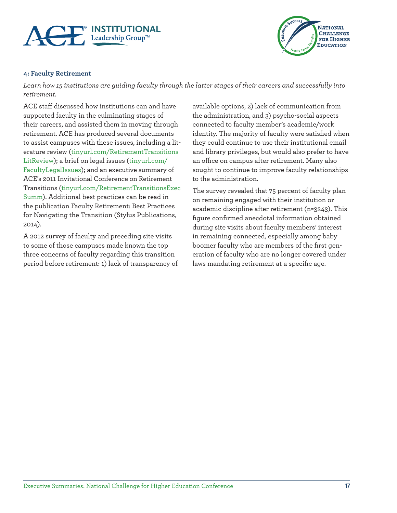



#### **4: Faculty Retirement**

*Learn how 15 institutions are guiding faculty through the latter stages of their careers and successfully into retirement.* 

ACE staff discussed how institutions can and have supported faculty in the culminating stages of their careers, and assisted them in moving through retirement. ACE has produced several documents to assist campuses with these issues, including a literature review (tinyurl.com/RetirementTransitions LitReview); a brief on legal issues (tinyurl.com/ FacultyLegalIssues); and an executive summary of ACE's 2011 Invitational Conference on Retirement Transitions (tinyurl.com/RetirementTransitionsExec Summ). Additional best practices can be read in the publication Faculty Retirement: Best Practices for Navigating the Transition (Stylus Publications, 2014).

A 2012 survey of faculty and preceding site visits to some of those campuses made known the top three concerns of faculty regarding this transition period before retirement: 1) lack of transparency of

available options, 2) lack of communication from the administration, and 3) psycho-social aspects connected to faculty member's academic/work identity. The majority of faculty were satisfied when they could continue to use their institutional email and library privileges, but would also prefer to have an office on campus after retirement. Many also sought to continue to improve faculty relationships to the administration.

The survey revealed that 75 percent of faculty plan on remaining engaged with their institution or academic discipline after retirement (n=3243). This figure confirmed anecdotal information obtained during site visits about faculty members' interest in remaining connected, especially among baby boomer faculty who are members of the first generation of faculty who are no longer covered under laws mandating retirement at a specific age.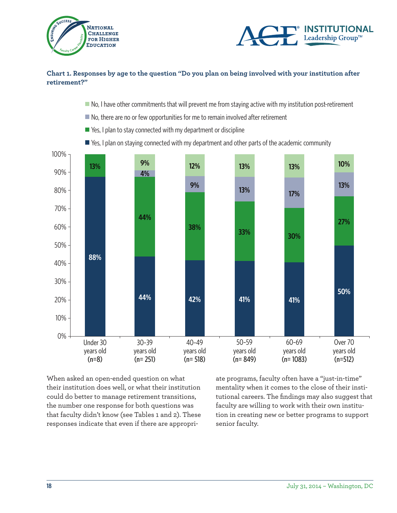



#### **Chart 1. Responses by age to the question "Do you plan on being involved with your institution after retirement?"**

- $\blacksquare$  No, I have other commitments that will prevent me from staying active with my institution post-retirement
- No, there are no or few opportunities for me to remain involved after retirement
- Yes, I plan to stay connected with my department or discipline
- $\blacksquare$  Yes, I plan on staying connected with my department and other parts of the academic community



When asked an open-ended question on what their institution does well, or what their institution could do better to manage retirement transitions, the number one response for both questions was that faculty didn't know (see Tables 1 and 2). These responses indicate that even if there are appropriate programs, faculty often have a "just-in-time" mentality when it comes to the close of their institutional careers. The findings may also suggest that faculty are willing to work with their own institution in creating new or better programs to support senior faculty.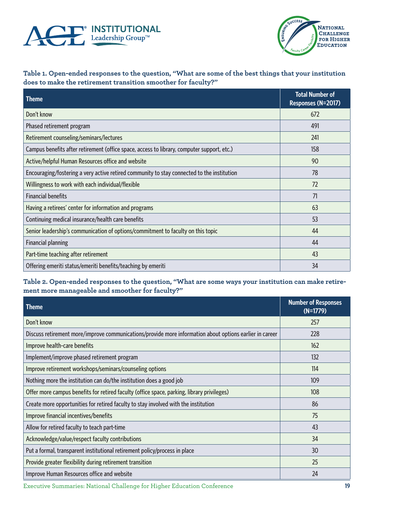



#### **Table 1. Open-ended responses to the question, "What are some of the best things that your institution does to make the retirement transition smoother for faculty?"**

| <b>Theme</b>                                                                               | <b>Total Number of</b><br>Responses (N=2017) |
|--------------------------------------------------------------------------------------------|----------------------------------------------|
| Don't know                                                                                 | 672                                          |
| Phased retirement program                                                                  | 491                                          |
| Retirement counseling/seminars/lectures                                                    | 241                                          |
| Campus benefits after retirement (office space, access to library, computer support, etc.) | 158                                          |
| Active/helpful Human Resources office and website                                          | 90                                           |
| Encouraging/fostering a very active retired community to stay connected to the institution | 78                                           |
| Willingness to work with each individual/flexible                                          | 72                                           |
| <b>Financial benefits</b>                                                                  | 71                                           |
| Having a retirees' center for information and programs                                     | 63                                           |
| Continuing medical insurance/health care benefits                                          | 53                                           |
| Senior leadership's communication of options/commitment to faculty on this topic           | 44                                           |
| <b>Financial planning</b>                                                                  | 44                                           |
| Part-time teaching after retirement                                                        | 43                                           |
| Offering emeriti status/emeriti benefits/teaching by emeriti                               | 34                                           |

#### **Table 2. Open-ended responses to the question, "What are some ways your institution can make retirement more manageable and smoother for faculty?"**

| <b>Theme</b>                                                                                            | <b>Number of Responses</b><br>$(N=1779)$ |
|---------------------------------------------------------------------------------------------------------|------------------------------------------|
| Don't know                                                                                              | 257                                      |
| Discuss retirement more/improve communications/provide more information about options earlier in career | 228                                      |
| Improve health-care benefits                                                                            | 162                                      |
| Implement/improve phased retirement program                                                             | 132                                      |
| Improve retirement workshops/seminars/counseling options                                                | 114                                      |
| Nothing more the institution can do/the institution does a good job                                     | 109                                      |
| Offer more campus benefits for retired faculty (office space, parking, library privileges)              | 108                                      |
| Create more opportunities for retired faculty to stay involved with the institution                     | 86                                       |
| Improve financial incentives/benefits                                                                   | 75                                       |
| Allow for retired faculty to teach part-time                                                            | 43                                       |
| Acknowledge/value/respect faculty contributions                                                         | 34                                       |
| Put a formal, transparent institutional retirement policy/process in place                              | 30                                       |
| Provide greater flexibility during retirement transition                                                | 25                                       |
| Improve Human Resources office and website                                                              | 24                                       |

Executive Summaries: National Challenge for Higher Education Conference **19**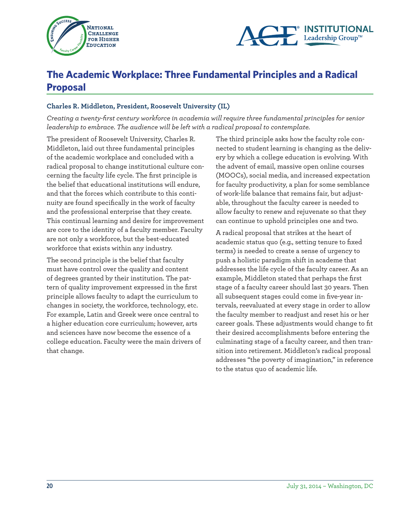



### **The Academic Workplace: Three Fundamental Principles and a Radical Proposal**

#### **Charles R. Middleton, President, Roosevelt University (IL)**

*Creating a twenty-first century workforce in academia will require three fundamental principles for senior leadership to embrace. The audience will be left with a radical proposal to contemplate.* 

The president of Roosevelt University, Charles R. Middleton, laid out three fundamental principles of the academic workplace and concluded with a radical proposal to change institutional culture concerning the faculty life cycle. The first principle is the belief that educational institutions will endure, and that the forces which contribute to this continuity are found specifically in the work of faculty and the professional enterprise that they create. This continual learning and desire for improvement are core to the identity of a faculty member. Faculty are not only a workforce, but the best-educated workforce that exists within any industry.

The second principle is the belief that faculty must have control over the quality and content of degrees granted by their institution. The pattern of quality improvement expressed in the first principle allows faculty to adapt the curriculum to changes in society, the workforce, technology, etc. For example, Latin and Greek were once central to a higher education core curriculum; however, arts and sciences have now become the essence of a college education. Faculty were the main drivers of that change.

The third principle asks how the faculty role connected to student learning is changing as the delivery by which a college education is evolving. With the advent of email, massive open online courses (MOOCs), social media, and increased expectation for faculty productivity, a plan for some semblance of work-life balance that remains fair, but adjustable, throughout the faculty career is needed to allow faculty to renew and rejuvenate so that they can continue to uphold principles one and two.

A radical proposal that strikes at the heart of academic status quo (e.g., setting tenure to fixed terms) is needed to create a sense of urgency to push a holistic paradigm shift in academe that addresses the life cycle of the faculty career. As an example, Middleton stated that perhaps the first stage of a faculty career should last 30 years. Then all subsequent stages could come in five-year intervals, reevaluated at every stage in order to allow the faculty member to readjust and reset his or her career goals. These adjustments would change to fit their desired accomplishments before entering the culminating stage of a faculty career, and then transition into retirement. Middleton's radical proposal addresses "the poverty of imagination," in reference to the status quo of academic life.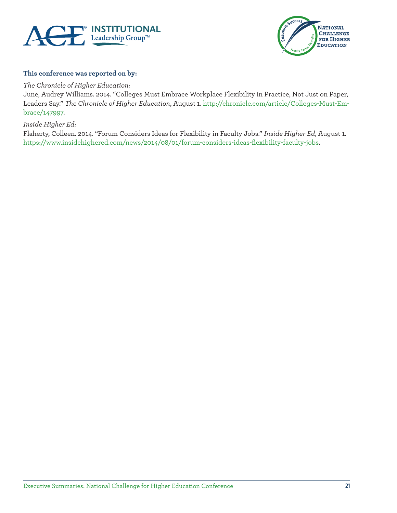



#### **This conference was reported on by:**

*The Chronicle of Higher Education:* 

June, Audrey Williams. 2014. "Colleges Must Embrace Workplace Flexibility in Practice, Not Just on Paper, Leaders Say." *The Chronicle of Higher Education*, August 1. http://chronicle.com/article/Colleges-Must-Embrace/147997.

*Inside Higher Ed:* 

Flaherty, Colleen. 2014. "Forum Considers Ideas for Flexibility in Faculty Jobs." *Inside Higher Ed*, August 1. https://www.insidehighered.com/news/2014/08/01/forum-considers-ideas-flexibility-faculty-jobs.